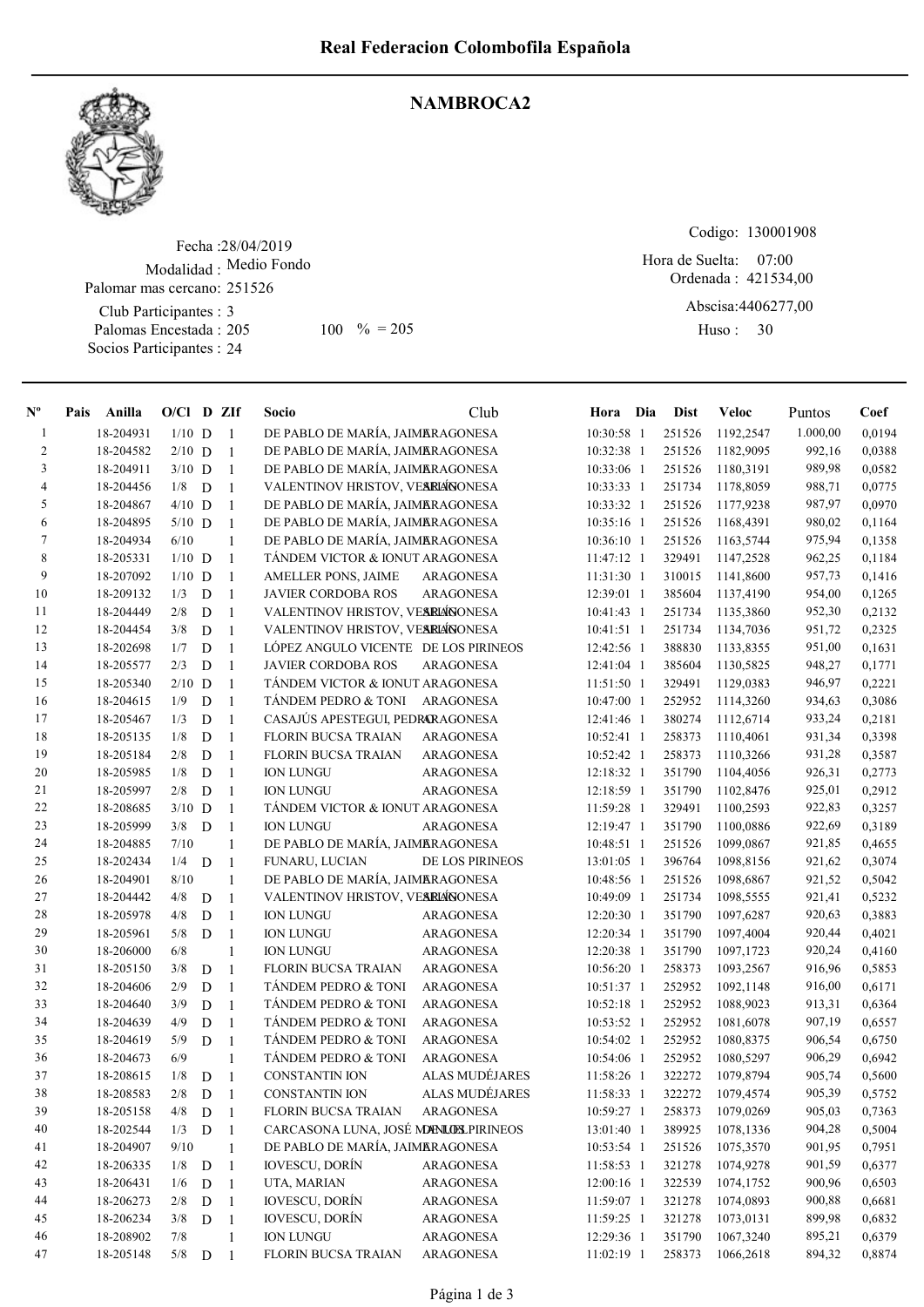

## NAMBROCA2

Fecha : 28/04/2019 Modalidad : Medio Fondo Club Participantes : 3 Palomas Encestada : Palomar mas cercano: 251526 205 100 % = 205 Huso: 30

Socios Participantes : 24

Codigo: 130001908

Ordenada : 421534,00 Abscisa: 4406277,00 Hora de Suelta: 07:00

Huso: 30

| $N^{\rm o}$    | Pais | Anilla    | $O/Cl$ D ZIf |             |                | Socio                                | Club                  | Hora Dia     | <b>Dist</b> | <b>Veloc</b> | Puntos   | Coef   |
|----------------|------|-----------|--------------|-------------|----------------|--------------------------------------|-----------------------|--------------|-------------|--------------|----------|--------|
| 1              |      | 18-204931 | $1/10$ D     |             | -1             | DE PABLO DE MARÍA, JAIMARAGONESA     |                       | 10:30:58 1   | 251526      | 1192,2547    | 1.000,00 | 0,0194 |
| $\overline{2}$ |      | 18-204582 | $2/10$ D     |             | -1             | DE PABLO DE MARÍA, JAIMARAGONESA     |                       | 10:32:38 1   | 251526      | 1182,9095    | 992,16   | 0,0388 |
| 3              |      | 18-204911 | $3/10$ D     |             | -1             | DE PABLO DE MARÍA, JAIMERAGONESA     |                       | 10:33:06 1   | 251526      | 1180,3191    | 989,98   | 0,0582 |
| 4              |      | 18-204456 | 1/8          | D           | $\overline{1}$ | VALENTINOV HRISTOV, VESRIÁNONESA     |                       | 10:33:33 1   | 251734      | 1178,8059    | 988,71   | 0,0775 |
| 5              |      | 18-204867 | $4/10$ D     |             | $\overline{1}$ | DE PABLO DE MARÍA, JAIMARAGONESA     |                       | 10:33:32 1   | 251526      | 1177,9238    | 987,97   | 0,0970 |
| 6              |      | 18-204895 | $5/10$ D     |             | $\overline{1}$ | DE PABLO DE MARÍA, JAIMERAGONESA     |                       | 10:35:16 1   | 251526      | 1168,4391    | 980,02   | 0,1164 |
| $\tau$         |      | 18-204934 | 6/10         |             | 1              | DE PABLO DE MARÍA, JAIMERAGONESA     |                       | 10:36:10 1   | 251526      | 1163,5744    | 975,94   | 0,1358 |
| 8              |      | 18-205331 | $1/10$ D     |             | -1             | TÁNDEM VICTOR & IONUT ARAGONESA      |                       | 11:47:12 1   | 329491      | 1147,2528    | 962,25   | 0,1184 |
| 9              |      | 18-207092 | $1/10$ D     |             | -1             | AMELLER PONS, JAIME                  | ARAGONESA             | 11:31:30 1   | 310015      | 1141,8600    | 957,73   | 0,1416 |
| 10             |      | 18-209132 | 1/3          | D           | $\overline{1}$ | <b>JAVIER CORDOBA ROS</b>            | <b>ARAGONESA</b>      | 12:39:01 1   | 385604      | 1137,4190    | 954,00   | 0,1265 |
| 11             |      | 18-204449 | 2/8          | D           | $\overline{1}$ | VALENTINOV HRISTOV, VESRIÁNONESA     |                       | 10:41:43 1   | 251734      | 1135,3860    | 952,30   | 0,2132 |
| 12             |      | 18-204454 | 3/8          | D           | $\overline{1}$ | VALENTINOV HRISTOV, VESRIÁNONESA     |                       | 10:41:51 1   | 251734      | 1134,7036    | 951,72   | 0,2325 |
| 13             |      | 18-202698 | 1/7          | D           | -1             | LÓPEZ ANGULO VICENTE DE LOS PIRINEOS |                       | 12:42:56 1   | 388830      | 1133,8355    | 951,00   | 0,1631 |
| 14             |      | 18-205577 | 2/3          | D           | $\overline{1}$ | <b>JAVIER CORDOBA ROS</b>            | <b>ARAGONESA</b>      | 12:41:04 1   | 385604      | 1130,5825    | 948,27   | 0,1771 |
| 15             |      | 18-205340 | $2/10$ D     |             | $\overline{1}$ | TANDEM VICTOR & IONUT ARAGONESA      |                       | 11:51:50 1   | 329491      | 1129,0383    | 946,97   | 0,2221 |
| 16             |      | 18-204615 | 1/9          | D           | $\overline{1}$ | <b>TANDEM PEDRO &amp; TONI</b>       | <b>ARAGONESA</b>      | 10:47:00 1   | 252952      | 1114,3260    | 934,63   | 0,3086 |
| 17             |      | 18-205467 | 1/3          | D           | $\overline{1}$ | CASAJÚS APESTEGUI, PEDRARAGONESA     |                       | 12:41:46 1   | 380274      | 1112,6714    | 933,24   | 0,2181 |
| 18             |      | 18-205135 | 1/8          | D           | $\overline{1}$ | <b>FLORIN BUCSA TRAIAN</b>           | ARAGONESA             | 10:52:41 1   | 258373      | 1110,4061    | 931,34   | 0,3398 |
| 19             |      | 18-205184 | 2/8          | D           | $\overline{1}$ | <b>FLORIN BUCSA TRAIAN</b>           | <b>ARAGONESA</b>      | 10:52:42 1   | 258373      | 1110,3266    | 931,28   | 0,3587 |
| 20             |      | 18-205985 | 1/8          | D           | $\overline{1}$ | <b>ION LUNGU</b>                     | <b>ARAGONESA</b>      | 12:18:32 1   | 351790      | 1104,4056    | 926,31   | 0,2773 |
| 21             |      | 18-205997 | 2/8          | $\mathbf D$ | $\overline{1}$ | <b>ION LUNGU</b>                     | <b>ARAGONESA</b>      | 12:18:59 1   | 351790      | 1102,8476    | 925,01   | 0,2912 |
| 22             |      | 18-208685 | $3/10$ D     |             | $\overline{1}$ | TANDEM VICTOR & IONUT ARAGONESA      |                       | 11:59:28 1   | 329491      | 1100,2593    | 922,83   | 0,3257 |
| 23             |      | 18-205999 | 3/8          | D           | $\overline{1}$ | <b>ION LUNGU</b>                     | ARAGONESA             | 12:19:47 1   | 351790      | 1100,0886    | 922,69   | 0,3189 |
| 24             |      | 18-204885 | 7/10         |             | $\mathbf{1}$   | DE PABLO DE MARÍA, JAIMERAGONESA     |                       | 10:48:51 1   | 251526      | 1099,0867    | 921,85   | 0,4655 |
| 25             |      | 18-202434 | 1/4          | D           | $\mathbf{1}$   | FUNARU, LUCIAN                       | DE LOS PIRINEOS       | 13:01:05 1   | 396764      | 1098,8156    | 921,62   | 0,3074 |
| 26             |      | 18-204901 | 8/10         |             | $\mathbf{1}$   | DE PABLO DE MARÍA, JAIMERAGONESA     |                       | 10:48:56 1   | 251526      | 1098,6867    | 921,52   | 0,5042 |
| $27\,$         |      | 18-204442 | 4/8          | D           | -1             | VALENTINOV HRISTOV, VESRIÁNONESA     |                       | 10:49:09 1   | 251734      | 1098,5555    | 921,41   | 0,5232 |
| 28             |      | 18-205978 | 4/8          | D           | $\overline{1}$ | <b>ION LUNGU</b>                     | <b>ARAGONESA</b>      | 12:20:30 1   | 351790      | 1097,6287    | 920,63   | 0,3883 |
| 29             |      | 18-205961 | 5/8          | D           | $\overline{1}$ | <b>ION LUNGU</b>                     | ARAGONESA             | 12:20:34 1   | 351790      | 1097,4004    | 920,44   | 0,4021 |
| 30             |      | 18-206000 | 6/8          |             | 1              | <b>ION LUNGU</b>                     | ARAGONESA             | 12:20:38 1   | 351790      | 1097,1723    | 920,24   | 0,4160 |
| 31             |      | 18-205150 | 3/8          | D           | $\overline{1}$ | <b>FLORIN BUCSA TRAIAN</b>           | <b>ARAGONESA</b>      | 10:56:20 1   | 258373      | 1093,2567    | 916,96   | 0,5853 |
| 32             |      | 18-204606 | 2/9          | D           | $\overline{1}$ | TÁNDEM PEDRO & TONI                  | <b>ARAGONESA</b>      | 10:51:37 1   | 252952      | 1092,1148    | 916,00   | 0,6171 |
| 33             |      | 18-204640 | 3/9          | D           | $\overline{1}$ | TÁNDEM PEDRO & TONI                  | <b>ARAGONESA</b>      | $10:52:18$ 1 | 252952      | 1088,9023    | 913,31   | 0,6364 |
| 34             |      | 18-204639 | 4/9          | D           | $\overline{1}$ | TÁNDEM PEDRO & TONI                  | <b>ARAGONESA</b>      | 10:53:52 1   | 252952      | 1081,6078    | 907,19   | 0,6557 |
| 35             |      | 18-204619 | 5/9          | D           | -1             | <b>TANDEM PEDRO &amp; TONI</b>       | <b>ARAGONESA</b>      | 10:54:02 1   | 252952      | 1080,8375    | 906,54   | 0,6750 |
| 36             |      | 18-204673 | 6/9          |             | $\mathbf{1}$   | <b>TANDEM PEDRO &amp; TONI</b>       | <b>ARAGONESA</b>      | 10:54:06 1   | 252952      | 1080,5297    | 906,29   | 0,6942 |
| 37             |      | 18-208615 | 1/8          | D           | $\overline{1}$ | <b>CONSTANTIN ION</b>                | <b>ALAS MUDÉJARES</b> | 11:58:26 1   | 322272      | 1079,8794    | 905,74   | 0,5600 |
| 38             |      | 18-208583 | 2/8          | D           | -1             | <b>CONSTANTIN ION</b>                | ALAS MUDÉJARES        | 11:58:33 1   | 322272      | 1079,4574    | 905,39   | 0,5752 |
| 39             |      | 18-205158 | 4/8          | ${\rm D}$   | $\overline{1}$ | FLORIN BUCSA TRAIAN                  | ARAGONESA             | 10:59:27 1   | 258373      | 1079,0269    | 905,03   | 0,7363 |
| 40             |      | 18-202544 | 1/3          | ${\bf D}$   | $\overline{1}$ | CARCASONA LUNA, JOSÉ MENLOS PIRINEOS |                       | 13:01:40 1   | 389925      | 1078,1336    | 904,28   | 0,5004 |
| 41             |      | 18-204907 | 9/10         |             | $\mathbf{1}$   | DE PABLO DE MARÍA, JAIMERAGONESA     |                       | 10:53:54 1   | 251526      | 1075,3570    | 901,95   | 0,7951 |
| 42             |      | 18-206335 | 1/8          | $\mathbf D$ | -1             | <b>IOVESCU, DORÍN</b>                | ARAGONESA             | 11:58:53 1   | 321278      | 1074,9278    | 901,59   | 0,6377 |
| 43             |      | 18-206431 | 1/6          | D           | -1             | UTA, MARIAN                          | ARAGONESA             | 12:00:16 1   | 322539      | 1074,1752    | 900,96   | 0,6503 |
| 44             |      | 18-206273 | 2/8          | ${\bf D}$   | $\overline{1}$ | <b>IOVESCU, DORÍN</b>                | ARAGONESA             | 11:59:07 1   | 321278      | 1074,0893    | 900,88   | 0,6681 |
| 45             |      | 18-206234 | 3/8          | ${\rm D}$   | $\overline{1}$ | <b>IOVESCU, DORÍN</b>                | ARAGONESA             | 11:59:25 1   | 321278      | 1073,0131    | 899,98   | 0,6832 |
| 46             |      | 18-208902 | $7/8$        |             | $\mathbf{1}$   | <b>ION LUNGU</b>                     | ARAGONESA             | 12:29:36 1   | 351790      | 1067,3240    | 895,21   | 0,6379 |
| 47             |      | 18-205148 | 5/8          | ${\bf D}$   | $\overline{1}$ | <b>FLORIN BUCSA TRAIAN</b>           | ARAGONESA             | $11:02:19$ 1 | 258373      | 1066,2618    | 894,32   | 0,8874 |
|                |      |           |              |             |                |                                      |                       |              |             |              |          |        |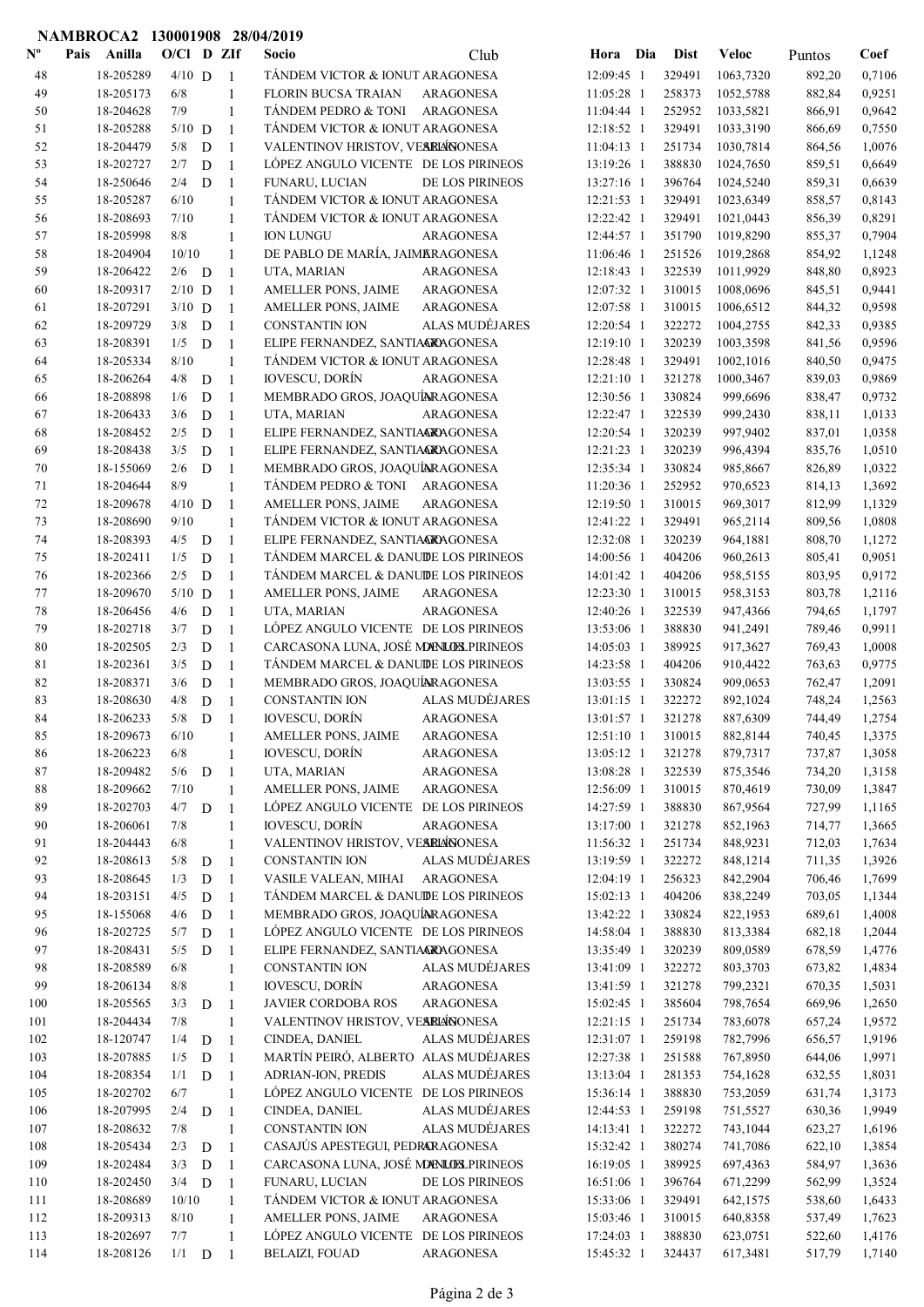|                           | NAMBROCA2 130001908 28/04/2019 |              |             |                                |                                                     |                        |                          |                  |                        |                  |                  |
|---------------------------|--------------------------------|--------------|-------------|--------------------------------|-----------------------------------------------------|------------------------|--------------------------|------------------|------------------------|------------------|------------------|
| $\mathbf{N}^{\mathbf{o}}$ | Pais Anilla                    | $O/C1$ D ZIf |             |                                | Socio                                               | Club                   | Hora Dia                 | <b>Dist</b>      | <b>Veloc</b>           | Puntos           | Coef             |
| 48                        | 18-205289                      | $4/10$ D     |             | $\overline{1}$                 | TÁNDEM VICTOR & IONUT ARAGONESA                     |                        | 12:09:45 1               | 329491           | 1063,7320              | 892,20           | 0,7106           |
| 49                        | 18-205173                      | 6/8          |             | $\mathbf{1}$                   | <b>FLORIN BUCSA TRAIAN</b>                          | ARAGONESA              | 11:05:28 1               | 258373           | 1052,5788              | 882,84           | 0,9251           |
| 50                        | 18-204628                      | 7/9          |             | $\mathbf{1}$                   | TÁNDEM PEDRO & TONI                                 | ARAGONESA              | 11:04:44 1               | 252952           | 1033,5821              | 866,91           | 0,9642           |
| 51                        | 18-205288                      | $5/10$ D     |             | 1                              | TÁNDEM VICTOR & IONUT ARAGONESA                     |                        | $12:18:52$ 1             | 329491           | 1033,3190              | 866,69           | 0,7550           |
| 52                        | 18-204479                      | 5/8          | D           | -1                             | VALENTINOV HRISTOV, VESRLÁNONESA                    |                        | 11:04:13 1               | 251734           | 1030,7814              | 864,56           | 1,0076           |
| 53                        | 18-202727                      | 2/7          | D           | $\mathbf{1}$                   | LOPEZ ANGULO VICENTE DE LOS PIRINEOS                | <b>DE LOS PIRINEOS</b> | 13:19:26 1               | 388830           | 1024,7650              | 859,51           | 0,6649           |
| 54<br>55                  | 18-250646<br>18-205287         | 2/4<br>6/10  | D           | 1                              | FUNARU, LUCIAN<br>TÁNDEM VICTOR & IONUT ARAGONESA   |                        | 13:27:16 1<br>12:21:53 1 | 396764<br>329491 | 1024,5240<br>1023,6349 | 859,31<br>858,57 | 0,6639<br>0,8143 |
| 56                        | 18-208693                      | 7/10         |             | $\mathbf{1}$<br>1              | TÁNDEM VICTOR & IONUT ARAGONESA                     |                        | 12:22:42 1               | 329491           | 1021,0443              | 856,39           | 0,8291           |
| 57                        | 18-205998                      | 8/8          |             | $\mathbf{1}$                   | <b>ION LUNGU</b>                                    | <b>ARAGONESA</b>       | 12:44:57 1               | 351790           | 1019,8290              | 855,37           | 0,7904           |
| 58                        | 18-204904                      | 10/10        |             | $\mathbf{1}$                   | DE PABLO DE MARÍA, JAIMERAGONESA                    |                        | 11:06:46 1               | 251526           | 1019,2868              | 854,92           | 1,1248           |
| 59                        | 18-206422                      | $2/6$ D      |             | -1                             | UTA, MARIAN                                         | <b>ARAGONESA</b>       | 12:18:43 1               | 322539           | 1011,9929              | 848,80           | 0,8923           |
| 60                        | 18-209317                      | $2/10$ D     |             | 1                              | AMELLER PONS, JAIME                                 | ARAGONESA              | 12:07:32 1               | 310015           | 1008,0696              | 845,51           | 0,9441           |
| 61                        | 18-207291                      | $3/10$ D     |             | -1                             | AMELLER PONS, JAIME                                 | <b>ARAGONESA</b>       | 12:07:58 1               | 310015           | 1006,6512              | 844,32           | 0,9598           |
| 62                        | 18-209729                      | 3/8          | D           | $\mathbf{1}$                   | <b>CONSTANTIN ION</b>                               | ALAS MUDÉJARES         | 12:20:54 1               | 322272           | 1004,2755              | 842,33           | 0,9385           |
| 63                        | 18-208391                      | 1/5          | D           | 1                              | ELIPE FERNANDEZ, SANTIAGRAGONESA                    |                        | 12:19:10 1               | 320239           | 1003,3598              | 841,56           | 0,9596           |
| 64                        | 18-205334                      | 8/10         |             | $\mathbf{1}$                   | TÁNDEM VICTOR & IONUT ARAGONESA                     |                        | 12:28:48 1               | 329491           | 1002,1016              | 840,50           | 0,9475           |
| 65                        | 18-206264                      | 4/8          | D           | $\mathbf{1}$                   | <b>IOVESCU, DORÍN</b>                               | <b>ARAGONESA</b>       | 12:21:10 1               | 321278           | 1000,3467              | 839,03           | 0,9869           |
| 66                        | 18-208898                      | 1/6          | $\mathbf D$ | $\mathbf{1}$                   | MEMBRADO GROS, JOAQUÍARAGONESA                      |                        | 12:30:56 1               | 330824           | 999,6696               | 838,47           | 0,9732           |
| 67                        | 18-206433                      | 3/6          | D           | $\mathbf{1}$                   | UTA, MARIAN                                         | ARAGONESA              | 12:22:47 1               | 322539           | 999,2430               | 838,11           | 1,0133           |
| 68                        | 18-208452                      | 2/5          | D           | $\overline{1}$                 | ELIPE FERNANDEZ, SANTIAGRAGONESA                    |                        | 12:20:54 1               | 320239           | 997,9402               | 837,01           | 1,0358           |
| 69                        | 18-208438                      | 3/5          | D           | $\overline{1}$                 | ELIPE FERNANDEZ, SANTIAGRAGONESA                    |                        | $12:21:23$ 1             | 320239           | 996,4394               | 835,76           | 1,0510           |
| 70                        | 18-155069                      | 2/6          | D           | -1                             | MEMBRADO GROS, JOAQUÍNRAGONESA                      |                        | 12:35:34 1               | 330824           | 985,8667               | 826,89           | 1,0322           |
| 71                        | 18-204644                      | 8/9          |             | $\mathbf{1}$                   | TÁNDEM PEDRO & TONI ARAGONESA                       |                        | 11:20:36 1               | 252952           | 970,6523               | 814,13           | 1,3692           |
| 72                        | 18-209678                      | $4/10$ D     |             | $\mathbf{1}$                   | AMELLER PONS, JAIME                                 | ARAGONESA              | 12:19:50 1               | 310015           | 969,3017               | 812,99           | 1,1329           |
| 73                        | 18-208690                      | 9/10         |             | $\mathbf{1}$                   | TÁNDEM VICTOR & IONUT ARAGONESA                     |                        | 12:41:22 1               | 329491           | 965,2114               | 809,56           | 1,0808           |
| 74                        | 18-208393                      | 4/5          | D           | $\mathbf{1}$                   | ELIPE FERNANDEZ, SANTIAGRAGONESA                    |                        | 12:32:08 1               | 320239           | 964,1881               | 808,70           | 1,1272           |
| 75                        | 18-202411                      | 1/5          | D           | 1                              | TÁNDEM MARCEL & DANUDE LOS PIRINEOS                 |                        | 14:00:56 1               | 404206           | 960,2613               | 805,41           | 0,9051           |
| 76                        | 18-202366                      | 2/5          | D           | 1                              | TÁNDEM MARCEL & DANUDE LOS PIRINEOS                 |                        | 14:01:42 1               | 404206           | 958,5155               | 803,95           | 0,9172           |
| 77<br>78                  | 18-209670                      | $5/10$ D     |             | 1                              | AMELLER PONS, JAIME                                 | <b>ARAGONESA</b>       | 12:23:30 1               | 310015           | 958,3153               | 803,78           | 1,2116<br>1,1797 |
| 79                        | 18-206456<br>18-202718         | 4/6<br>3/7   | D<br>D      | $\mathbf{1}$<br>$\overline{1}$ | UTA, MARIAN<br>LÓPEZ ANGULO VICENTE DE LOS PIRINEOS | ARAGONESA              | 12:40:26 1<br>13:53:06 1 | 322539<br>388830 | 947,4366<br>941,2491   | 794,65<br>789,46 | 0,9911           |
| 80                        | 18-202505                      | 2/3          | D           | $\mathbf{1}$                   | CARCASONA LUNA, JOSÉ MONUEL PIRINEOS                |                        | 14:05:03 1               | 389925           | 917,3627               | 769,43           | 1,0008           |
| 81                        | 18-202361                      | 3/5          | D           | $\overline{1}$                 | TÁNDEM MARCEL & DANUDE LOS PIRINEOS                 |                        | 14:23:58 1               | 404206           | 910,4422               | 763,63           | 0,9775           |
| 82                        | 18-208371                      | 3/6          | D           | $\mathbf{1}$                   | MEMBRADO GROS, JOAQUÍNRAGONESA                      |                        | 13:03:55 1               | 330824           | 909,0653               | 762,47           | 1,2091           |
| 83                        | 18-208630                      | 4/8          | D           | $\overline{1}$                 | <b>CONSTANTIN ION</b>                               | ALAS MUDÉJARES         | 13:01:15 1               | 322272           | 892,1024               | 748,24           | 1,2563           |
| 84                        | 18-206233                      |              | $5/8$ D $1$ |                                | IOVESCU, DORÍN                                      | <b>ARAGONESA</b>       | 13:01:57 1               | 321278           | 887,6309               | 744,49           | 1,2754           |
| 85                        | 18-209673                      | 6/10         |             | $\mathbf{1}$                   | AMELLER PONS, JAIME                                 | ARAGONESA              | $12:51:10$ 1             | 310015           | 882,8144               | 740,45           | 1,3375           |
| 86                        | 18-206223                      | 6/8          |             | $\mathbf{1}$                   | <b>IOVESCU, DORÍN</b>                               | <b>ARAGONESA</b>       | 13:05:12 1               | 321278           | 879,7317               | 737,87           | 1,3058           |
| 87                        | 18-209482                      | $5/6$ D      |             | $\mathbf{1}$                   | UTA, MARIAN                                         | <b>ARAGONESA</b>       | 13:08:28 1               | 322539           | 875,3546               | 734,20           | 1,3158           |
| 88                        | 18-209662                      | 7/10         |             | 1                              | AMELLER PONS, JAIME                                 | <b>ARAGONESA</b>       | 12:56:09 1               | 310015           | 870,4619               | 730,09           | 1,3847           |
| 89                        | 18-202703                      | $4/7$ D      |             | 1                              | LÓPEZ ANGULO VICENTE DE LOS PIRINEOS                |                        | 14:27:59 1               | 388830           | 867,9564               | 727,99           | 1,1165           |
| 90                        | 18-206061                      | 7/8          |             | 1                              | <b>IOVESCU, DORÍN</b>                               | <b>ARAGONESA</b>       | 13:17:00 1               | 321278           | 852,1963               | 714,77           | 1,3665           |
| 91                        | 18-204443                      | 6/8          |             | 1                              | VALENTINOV HRISTOV, VESRIÁNONESA                    |                        | 11:56:32 1               | 251734           | 848,9231               | 712,03           | 1,7634           |
| 92                        | 18-208613                      | 5/8          | D           | 1                              | CONSTANTIN ION                                      | ALAS MUDÉJARES         | 13:19:59 1               | 322272           | 848,1214               | 711,35           | 1,3926           |
| 93                        | 18-208645                      | 1/3          | D           | $\mathbf{1}$                   | VASILE VALEAN, MIHAI                                | <b>ARAGONESA</b>       | 12:04:19 1               | 256323           | 842,2904               | 706,46           | 1,7699           |
| 94                        | 18-203151                      | 4/5          | D           | $\overline{1}$                 | TÁNDEM MARCEL & DANUIDE LOS PIRINEOS                |                        | 15:02:13 1               | 404206           | 838,2249               | 703,05           | 1,1344           |
| 95                        | 18-155068                      | 4/6          | $\mathbf D$ | $\overline{1}$                 | MEMBRADO GROS, JOAQUÍNRAGONESA                      |                        | 13:42:22 1               | 330824           | 822,1953               | 689,61           | 1,4008           |
| 96                        | 18-202725                      | 5/7          | D           | $\mathbf{1}$                   | LÓPEZ ANGULO VICENTE DE LOS PIRINEOS                |                        | 14:58:04 1               | 388830           | 813,3384               | 682,18           | 1,2044           |
| 97<br>98                  | 18-208431<br>18-208589         | 5/5<br>$6/8$ | D           | $\overline{1}$                 | ELIPE FERNANDEZ, SANTIAGRAGONESA<br>CONSTANTIN ION  | ALAS MUDÉJARES         | 13:35:49 1<br>13:41:09 1 | 320239<br>322272 | 809,0589<br>803,3703   | 678,59           | 1,4776           |
| 99                        | 18-206134                      | 8/8          |             | $\mathbf{1}$<br>$\mathbf{1}$   | <b>IOVESCU, DORÍN</b>                               | <b>ARAGONESA</b>       | 13:41:59 1               | 321278           | 799,2321               | 673,82<br>670,35 | 1,4834<br>1,5031 |
| 100                       | 18-205565                      | 3/3          | $\mathbf D$ | -1                             | <b>JAVIER CORDOBA ROS</b>                           | <b>ARAGONESA</b>       | 15:02:45 1               | 385604           | 798,7654               | 669,96           | 1,2650           |
| 101                       | 18-204434                      | 7/8          |             | $\mathbf{1}$                   | VALENTINOV HRISTOV, VESRLÁNONESA                    |                        | 12:21:15 1               | 251734           | 783,6078               | 657,24           | 1,9572           |
| 102                       | 18-120747                      | 1/4          | $\mathbf D$ | -1                             | CINDEA, DANIEL                                      | ALAS MUDÉJARES         | 12:31:07 1               | 259198           | 782,7996               | 656,57           | 1,9196           |
| 103                       | 18-207885                      | 1/5          | $\mathbf D$ | $\overline{1}$                 | MARTÍN PEIRÓ, ALBERTO ALAS MUDÉJARES                |                        | 12:27:38 1               | 251588           | 767,8950               | 644,06           | 1,9971           |
| 104                       | 18-208354                      | 1/1          | D           | $\mathbf{1}$                   | ADRIAN-ION, PREDIS                                  | ALAS MUDÉJARES         | 13:13:04 1               | 281353           | 754,1628               | 632,55           | 1,8031           |
| 105                       | 18-202702                      | 6/7          |             | 1                              | LÓPEZ ANGULO VICENTE DE LOS PIRINEOS                |                        | 15:36:14 1               | 388830           | 753,2059               | 631,74           | 1,3173           |
| 106                       | 18-207995                      | 2/4          | D           | 1                              | CINDEA, DANIEL                                      | ALAS MUDÉJARES         | 12:44:53 1               | 259198           | 751,5527               | 630,36           | 1,9949           |
| 107                       | 18-208632                      | 7/8          |             | $\mathbf{1}$                   | <b>CONSTANTIN ION</b>                               | ALAS MUDÉJARES         | 14:13:41 1               | 322272           | 743,1044               | 623,27           | 1,6196           |
| 108                       | 18-205434                      | 2/3          | D           | -1                             | CASAJÚS APESTEGUI, PEDRARAGONESA                    |                        | 15:32:42 1               | 380274           | 741,7086               | 622,10           | 1,3854           |
| 109                       | 18-202484                      | 3/3          | D           | $\mathbf{1}$                   | CARCASONA LUNA, JOSÉ MONUEL PIRINEOS                |                        | 16:19:05 1               | 389925           | 697,4363               | 584,97           | 1,3636           |
| 110                       | 18-202450                      | 3/4          | D           | 1                              | FUNARU, LUCIAN                                      | DE LOS PIRINEOS        | 16:51:06 1               | 396764           | 671,2299               | 562,99           | 1,3524           |
| 111                       | 18-208689                      | 10/10        |             | $\mathbf{1}$                   | TÁNDEM VICTOR & IONUT ARAGONESA                     |                        | 15:33:06 1               | 329491           | 642,1575               | 538,60           | 1,6433           |
| 112                       | 18-209313                      | 8/10         |             | $\mathbf{1}$                   | AMELLER PONS, JAIME                                 | <b>ARAGONESA</b>       | 15:03:46 1               | 310015           | 640,8358               | 537,49           | 1,7623           |
| 113                       | 18-202697                      | 7/7          |             | $\mathbf{1}$                   | LÓPEZ ANGULO VICENTE DE LOS PIRINEOS                |                        | 17:24:03 1               | 388830           | 623,0751               | 522,60           | 1,4176           |
| 114                       | 18-208126                      | $1/1$ D      |             | -1                             | <b>BELAIZI, FOUAD</b>                               | <b>ARAGONESA</b>       | 15:45:32 1               | 324437           | 617,3481               | 517,79           | 1,7140           |